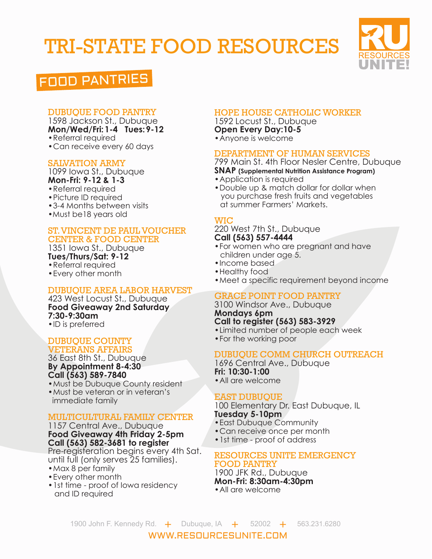# TRI-STATE FOOD RESOURCES



# FOOD PANTRIES

# DUBUQUE FOOD PANTRY

1598 Jackson St., Dubuque **Mon/Wed/Fri:1-4 Tues:9-12** •Referral required

•Can receive every 60 days

# SALVATION ARMY

1099 Iowa St., Dubuque **Mon-Fri: 9-12 & 1-3**

- •Referral required
- •Picture ID required
- •3-4 Months between visits
- •Must be18 years old

#### ST. VINCENT DE PAUL VOUCHER CENTER & FOOD CENTER

1351 Iowa St., Dubuque **Tues/Thurs/Sat: 9-12** •Referral required

•Every other month

# DUBUQUE AREA LABOR HARVEST

423 West Locust St., Dubuque **Food Giveaway 2nd Saturday 7:30-9:30am** •ID is preferred

#### DUBUQUE COUNTY VETERANS AFFAIRS

36 East 8th St., Dubuque **By Appointment 8-4:30 Call (563) 589-7840**

- •Must be Dubuque County resident •Must be veteran or in veteran's
- immediate family

# MULTICULTURAL FAMILY CENTER

1157 Central Ave., Dubuque **Food Giveaway 4th Friday 2-5pm Call (563) 582-3681 to register**

Pre-registeration begins every 4th Sat. until full (only serves 25 families).

- •Max 8 per family
- •Every other month
- 1st time proof of lowa residency and ID required

# HOPE HOUSE CATHOLIC WORKER

1592 Locust St., Dubuque **Open Every Day:10-5**  •Anyone is welcome

#### DEPARTMENT OF HUMAN SERVICES

799 Main St. 4th Floor Nesler Centre, Dubuque **SNAP (Supplemental Nutrition Assistance Program)**

- •Application is required
- •Double up & match dollar for dollar when you purchase fresh fruits and vegetables at summer Farmers' Markets.

#### **WIC**

#### 220 West 7th St., Dubuque **Call (563) 557-4444**

- •For women who are pregnant and have children under age 5.
- •Income based
- Healthy food
- •Meet a specific requirement beyond income

#### GRACE POINT FOOD PANTRY

3100 Windsor Ave., Dubuque **Mondays 6pm Call to register (563) 583-3929**

- •Limited number of people each week
- •For the working poor

# DUBUQUE COMM CHURCH OUTREACH

1696 Central Ave., Dubuque **Fri: 10:30-1:00** 

•All are welcome

# EAST DUBUQUE

100 Elementary Dr. East Dubuque, IL **Tuesday 5-10pm** 

- •East Dubuque Community
- •Can receive once per month
- •1st time proof of address

#### RESOURCES UNITE EMERGENCY FOOD PANTRY

1900 JFK Rd., Dubuque **Mon-Fri: 8:30am-4:30pm**  •All are welcome

WWW.RESOURCESUNITE.COM 1900 John F. Kennedy Rd.  $+$  Dubuque, IA  $+$  52002  $+$  563.231.6280